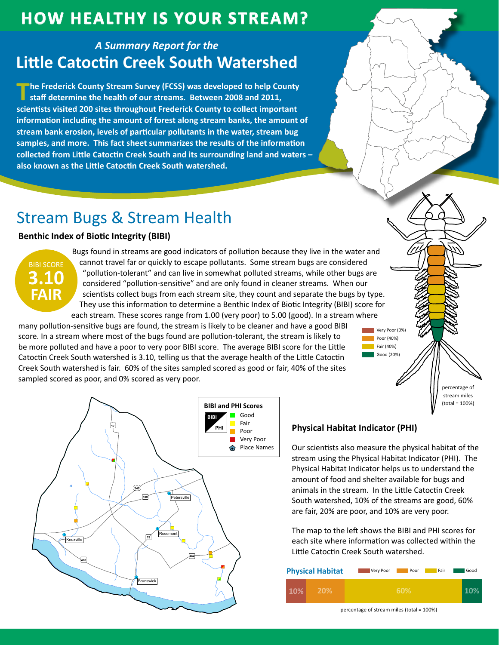## **HOW HEALTHY IS YOUR STREAM?**

### **A Summary Report for the Little Catoctin Creek South Watershed**

The Frederick County Stream Survey (FCSS) was developed to help County staff determine the health of our streams. Between 2008 and 2011, scientists visited 200 sites throughout Frederick County to collect important information including the amount of forest along stream banks, the amount of stream bank erosion, levels of particular pollutants in the water, stream bug samples, and more. This fact sheet summarizes the results of the information collected from Little Catoctin Creek South and its surrounding land and waters also known as the Little Catoctin Creek South watershed.

# **Stream Bugs & Stream Health**

### **Benthic Index of Biotic Integrity (BIBI)**



Bugs found in streams are good indicators of pollution because they live in the water and cannot travel far or quickly to escape pollutants. Some stream bugs are considered "pollution-tolerant" and can live in somewhat polluted streams, while other bugs are considered "pollution-sensitive" and are only found in cleaner streams. When our scientists collect bugs from each stream site, they count and separate the bugs by type. They use this information to determine a Benthic Index of Biotic Integrity (BIBI) score for each stream. These scores range from 1.00 (very poor) to 5.00 (good). In a stream where

many pollution-sensitive bugs are found, the stream is likely to be cleaner and have a good BIBI score. In a stream where most of the bugs found are pollution-tolerant, the stream is likely to be more polluted and have a poor to very poor BIBI score. The average BIBI score for the Little Catoctin Creek South watershed is 3.10, telling us that the average health of the Little Catoctin Creek South watershed is fair. 60% of the sites sampled scored as good or fair, 40% of the sites sampled scored as poor, and 0% scored as very poor.



#### **Physical Habitat Indicator (PHI)**

Our scientists also measure the physical habitat of the stream using the Physical Habitat Indicator (PHI). The Physical Habitat Indicator helps us to understand the amount of food and shelter available for bugs and animals in the stream. In the Little Catoctin Creek South watershed, 10% of the streams are good, 60% are fair, 20% are poor, and 10% are very poor.

Very Poor (0%)

nercentage of stream miles  $(total = 100%)$ 

Poor (40%)

Fair (40%) Good (20%)

The map to the left shows the BIBI and PHI scores for each site where information was collected within the Little Catoctin Creek South watershed.

| <b>Physical Habitat</b> | Very Poor | Poor | Fair | Good |
|-------------------------|-----------|------|------|------|
| 10%<br><b>20%</b>       |           | 60%  |      |      |

percentage of stream miles (total = 100%)